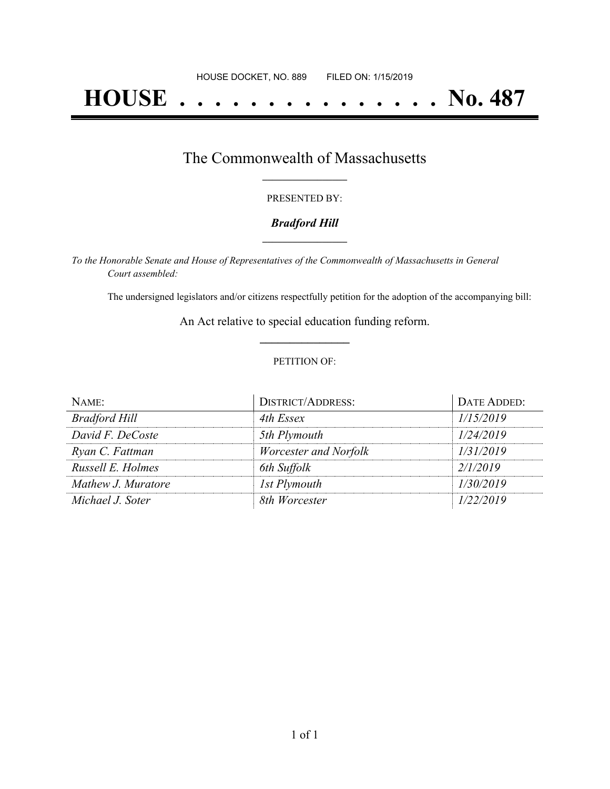# **HOUSE . . . . . . . . . . . . . . . No. 487**

## The Commonwealth of Massachusetts **\_\_\_\_\_\_\_\_\_\_\_\_\_\_\_\_\_**

#### PRESENTED BY:

#### *Bradford Hill* **\_\_\_\_\_\_\_\_\_\_\_\_\_\_\_\_\_**

*To the Honorable Senate and House of Representatives of the Commonwealth of Massachusetts in General Court assembled:*

The undersigned legislators and/or citizens respectfully petition for the adoption of the accompanying bill:

An Act relative to special education funding reform. **\_\_\_\_\_\_\_\_\_\_\_\_\_\_\_**

#### PETITION OF:

| NAME:                | <b>DISTRICT/ADDRESS:</b> | DATE ADDED: |
|----------------------|--------------------------|-------------|
| <b>Bradford Hill</b> | 4th Essex                | 1/15/2019   |
| David F. DeCoste     | 5th Plymouth             | 1/24/2019   |
| Ryan C. Fattman      | Worcester and Norfolk    | 1/31/2019   |
| Russell E. Holmes    | 6th Suffolk              | 2/1/2019    |
| Mathew J. Muratore   | 1st Plymouth             | 1/30/2019   |
| Michael J. Soter     | 8th Worcester            | 1/22/2019   |